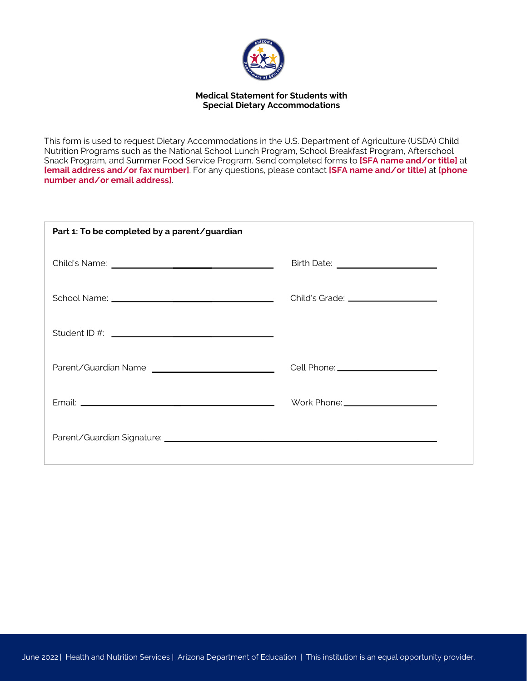

## **Medical Statement for Students with Special Dietary Accommodations**

This form is used to request Dietary Accommodations in the U.S. Department of Agriculture (USDA) Child Nutrition Programs such as the National School Lunch Program, School Breakfast Program, Afterschool Snack Program, and Summer Food Service Program. Send completed forms to **[SFA name and/or title]** at **[email address and/or fax number]**. For any questions, please contact **[SFA name and/or title]** at **[phone number and/or email address]**.

| Part 1: To be completed by a parent/guardian |                                       |
|----------------------------------------------|---------------------------------------|
|                                              |                                       |
|                                              | Child's Grade: ______________________ |
|                                              |                                       |
|                                              |                                       |
|                                              |                                       |
|                                              |                                       |